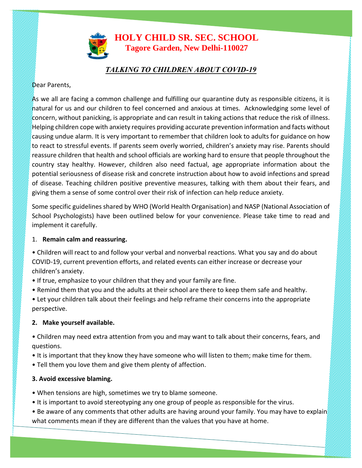# **HOLY CHILD SR. SEC. SCHOOL Tagore Garden, New Delhi-110027**

## *TALKING TO CHILDREN ABOUT COVID-19*

#### Dear Parents,

As we all are facing a common challenge and fulfilling our quarantine duty as responsible citizens, it is natural for us and our children to feel concerned and anxious at times. Acknowledging some level of concern, without panicking, is appropriate and can result in taking actions that reduce the risk of illness.  $H$ elping children cope with anxiety requires providing accurate prevention information and facts without causing undue alarm. It is very important to remember that children look to adults for guidance on how to react to stressful events. If parents seem overly worried, children's anxiety may rise. Parents should reassure children that health and school officials are working hard to ensure that people throughout the country stay healthy. However, children also need factual, age appropriate information about the potential seriousness of disease risk and concrete instruction about how to avoid infections and spread of disease. Teaching children positive preventive measures, talking with them about their fears, and giving them a sense of some control over their risk of infection can help reduce anxiety.

Some specific guidelines shared by WHO (World Health Organisation) and NASP (National Association of School Psychologists) have been outlined below for your convenience. Please take time to read and implement it carefully.

#### 1. **Remain calm and reassuring.**

- Children will react to and follow your verbal and nonverbal reactions. What you say and do about COVID-19, current prevention efforts, and related events can either increase or decrease your children's anxiety.
- If true, emphasize to your children that they and your family are fine.
- Remind them that you and the adults at their school are there to keep them safe and healthy.
- Let your children talk about their feelings and help reframe their concerns into the appropriate perspective.

### **2. Make yourself available.**

- Children may need extra attention from you and may want to talk about their concerns, fears, and questions.
- It is important that they know they have someone who will listen to them; make time for them.
- Tell them you love them and give them plenty of affection.

### **3. Avoid excessive blaming.**

**MANAGEMENT** 

- When tensions are high, sometimes we try to blame someone.
- It is important to avoid stereotyping any one group of people as responsible for the virus.
- Be aware of any comments that other adults are having around your family. You may have to explain what comments mean if they are different than the values that you have at home.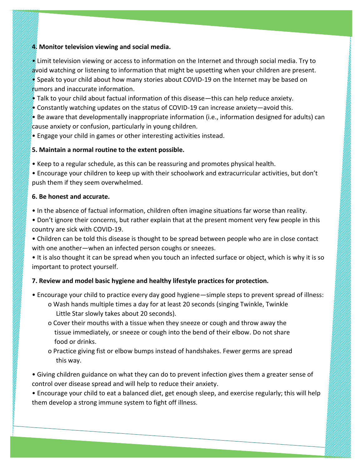#### **4. Monitor television viewing and social media.**

 $\ell$  Limit television viewing or access to information on the Internet and through social media. Try to avoid watching or listening to information that might be upsetting when your children are present. • Speak to your child about how many stories about COVID-19 on the Internet may be based on  $r$ umors and inaccurate information.

• Talk to your child about factual information of this disease—this can help reduce anxiety.

 $\bullet$  Constantly watching updates on the status of COVID-19 can increase anxiety—avoid this.

 $\bullet$  Be aware that developmentally inappropriate information (i.e., information designed for adults) can cause anxiety or confusion, particularly in young children.

• Engage your child in games or other interesting activities instead.

### **5. Maintain a normal routine to the extent possible.**

• Keep to a regular schedule, as this can be reassuring and promotes physical health.

• Encourage your children to keep up with their schoolwork and extracurricular activities, but don't push them if they seem overwhelmed.

### **6. Be honest and accurate.**

**MANAGEMENT** 

• In the absence of factual information, children often imagine situations far worse than reality.

- Don't ignore their concerns, but rather explain that at the present moment very few people in this country are sick with COVID-19.
- Children can be told this disease is thought to be spread between people who are in close contact with one another—when an infected person coughs or sneezes.

• It is also thought it can be spread when you touch an infected surface or object, which is why it is so important to protect yourself.

# **7. Review and model basic hygiene and healthy lifestyle practices for protection.**

- Encourage your child to practice every day good hygiene—simple steps to prevent spread of illness:
	- o Wash hands multiple times a day for at least 20 seconds (singing Twinkle, Twinkle Little Star slowly takes about 20 seconds).
	- o Cover their mouths with a tissue when they sneeze or cough and throw away the tissue immediately, or sneeze or cough into the bend of their elbow. Do not share food or drinks.
	- o Practice giving fist or elbow bumps instead of handshakes. Fewer germs are spread this way.

• Giving children guidance on what they can do to prevent infection gives them a greater sense of control over disease spread and will help to reduce their anxiety.

• Encourage your child to eat a balanced diet, get enough sleep, and exercise regularly; this will help them develop a strong immune system to fight off illness.